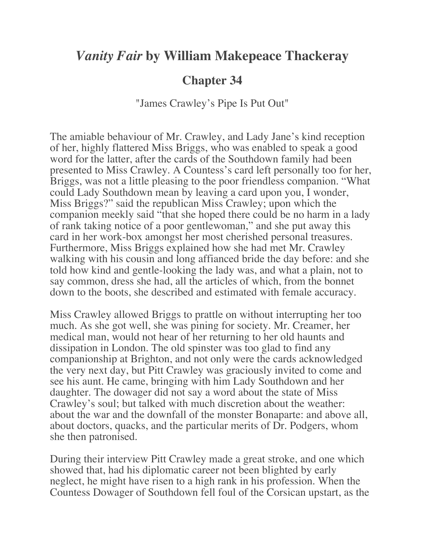## *Vanity Fair* **by William Makepeace Thackeray**

## **Chapter 34**

"James Crawley's Pipe Is Put Out"

The amiable behaviour of Mr. Crawley, and Lady Jane's kind reception of her, highly flattered Miss Briggs, who was enabled to speak a good word for the latter, after the cards of the Southdown family had been presented to Miss Crawley. A Countess's card left personally too for her, Briggs, was not a little pleasing to the poor friendless companion. "What could Lady Southdown mean by leaving a card upon you, I wonder, Miss Briggs?" said the republican Miss Crawley; upon which the companion meekly said "that she hoped there could be no harm in a lady of rank taking notice of a poor gentlewoman," and she put away this card in her work-box amongst her most cherished personal treasures. Furthermore, Miss Briggs explained how she had met Mr. Crawley walking with his cousin and long affianced bride the day before: and she told how kind and gentle-looking the lady was, and what a plain, not to say common, dress she had, all the articles of which, from the bonnet down to the boots, she described and estimated with female accuracy.

Miss Crawley allowed Briggs to prattle on without interrupting her too much. As she got well, she was pining for society. Mr. Creamer, her medical man, would not hear of her returning to her old haunts and dissipation in London. The old spinster was too glad to find any companionship at Brighton, and not only were the cards acknowledged the very next day, but Pitt Crawley was graciously invited to come and see his aunt. He came, bringing with him Lady Southdown and her daughter. The dowager did not say a word about the state of Miss Crawley's soul; but talked with much discretion about the weather: about the war and the downfall of the monster Bonaparte: and above all, about doctors, quacks, and the particular merits of Dr. Podgers, whom she then patronised.

During their interview Pitt Crawley made a great stroke, and one which showed that, had his diplomatic career not been blighted by early neglect, he might have risen to a high rank in his profession. When the Countess Dowager of Southdown fell foul of the Corsican upstart, as the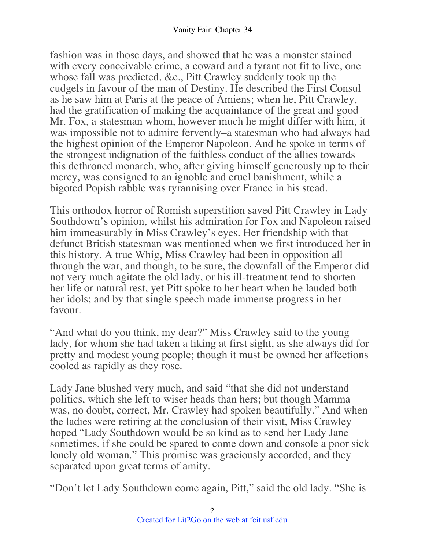fashion was in those days, and showed that he was a monster stained with every conceivable crime, a coward and a tyrant not fit to live, one whose fall was predicted, &c., Pitt Crawley suddenly took up the cudgels in favour of the man of Destiny. He described the First Consul as he saw him at Paris at the peace of Amiens; when he, Pitt Crawley, had the gratification of making the acquaintance of the great and good Mr. Fox, a statesman whom, however much he might differ with him, it was impossible not to admire fervently–a statesman who had always had the highest opinion of the Emperor Napoleon. And he spoke in terms of the strongest indignation of the faithless conduct of the allies towards this dethroned monarch, who, after giving himself generously up to their mercy, was consigned to an ignoble and cruel banishment, while a bigoted Popish rabble was tyrannising over France in his stead.

This orthodox horror of Romish superstition saved Pitt Crawley in Lady Southdown's opinion, whilst his admiration for Fox and Napoleon raised him immeasurably in Miss Crawley's eyes. Her friendship with that defunct British statesman was mentioned when we first introduced her in this history. A true Whig, Miss Crawley had been in opposition all through the war, and though, to be sure, the downfall of the Emperor did not very much agitate the old lady, or his ill-treatment tend to shorten her life or natural rest, yet Pitt spoke to her heart when he lauded both her idols; and by that single speech made immense progress in her favour.

"And what do you think, my dear?" Miss Crawley said to the young lady, for whom she had taken a liking at first sight, as she always did for pretty and modest young people; though it must be owned her affections cooled as rapidly as they rose.

Lady Jane blushed very much, and said "that she did not understand politics, which she left to wiser heads than hers; but though Mamma was, no doubt, correct, Mr. Crawley had spoken beautifully." And when the ladies were retiring at the conclusion of their visit, Miss Crawley hoped "Lady Southdown would be so kind as to send her Lady Jane sometimes, if she could be spared to come down and console a poor sick lonely old woman." This promise was graciously accorded, and they separated upon great terms of amity.

"Don't let Lady Southdown come again, Pitt," said the old lady. "She is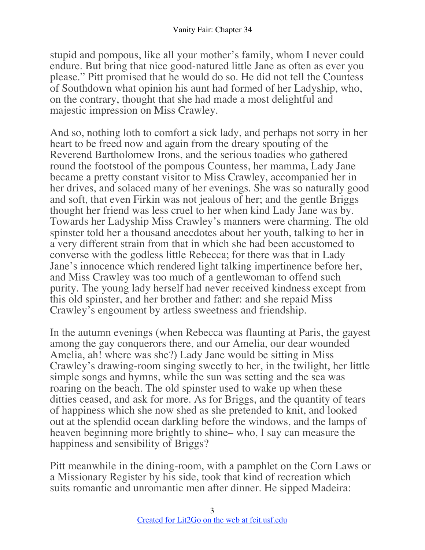stupid and pompous, like all your mother's family, whom I never could endure. But bring that nice good-natured little Jane as often as ever you please." Pitt promised that he would do so. He did not tell the Countess of Southdown what opinion his aunt had formed of her Ladyship, who, on the contrary, thought that she had made a most delightful and majestic impression on Miss Crawley.

And so, nothing loth to comfort a sick lady, and perhaps not sorry in her heart to be freed now and again from the dreary spouting of the Reverend Bartholomew Irons, and the serious toadies who gathered round the footstool of the pompous Countess, her mamma, Lady Jane became a pretty constant visitor to Miss Crawley, accompanied her in her drives, and solaced many of her evenings. She was so naturally good and soft, that even Firkin was not jealous of her; and the gentle Briggs thought her friend was less cruel to her when kind Lady Jane was by. Towards her Ladyship Miss Crawley's manners were charming. The old spinster told her a thousand anecdotes about her youth, talking to her in a very different strain from that in which she had been accustomed to converse with the godless little Rebecca; for there was that in Lady Jane's innocence which rendered light talking impertinence before her, and Miss Crawley was too much of a gentlewoman to offend such purity. The young lady herself had never received kindness except from this old spinster, and her brother and father: and she repaid Miss Crawley's engoument by artless sweetness and friendship.

In the autumn evenings (when Rebecca was flaunting at Paris, the gayest among the gay conquerors there, and our Amelia, our dear wounded Amelia, ah! where was she?) Lady Jane would be sitting in Miss Crawley's drawing-room singing sweetly to her, in the twilight, her little simple songs and hymns, while the sun was setting and the sea was roaring on the beach. The old spinster used to wake up when these ditties ceased, and ask for more. As for Briggs, and the quantity of tears of happiness which she now shed as she pretended to knit, and looked out at the splendid ocean darkling before the windows, and the lamps of heaven beginning more brightly to shine– who, I say can measure the happiness and sensibility of Briggs?

Pitt meanwhile in the dining-room, with a pamphlet on the Corn Laws or a Missionary Register by his side, took that kind of recreation which suits romantic and unromantic men after dinner. He sipped Madeira: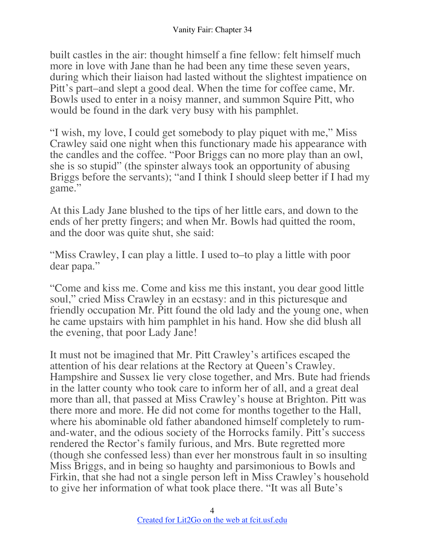built castles in the air: thought himself a fine fellow: felt himself much more in love with Jane than he had been any time these seven years, during which their liaison had lasted without the slightest impatience on Pitt's part–and slept a good deal. When the time for coffee came, Mr. Bowls used to enter in a noisy manner, and summon Squire Pitt, who would be found in the dark very busy with his pamphlet.

"I wish, my love, I could get somebody to play piquet with me," Miss Crawley said one night when this functionary made his appearance with the candles and the coffee. "Poor Briggs can no more play than an owl, she is so stupid" (the spinster always took an opportunity of abusing Briggs before the servants); "and I think I should sleep better if I had my game."

At this Lady Jane blushed to the tips of her little ears, and down to the ends of her pretty fingers; and when Mr. Bowls had quitted the room, and the door was quite shut, she said:

"Miss Crawley, I can play a little. I used to–to play a little with poor dear papa."

"Come and kiss me. Come and kiss me this instant, you dear good little soul," cried Miss Crawley in an ecstasy: and in this picturesque and friendly occupation Mr. Pitt found the old lady and the young one, when he came upstairs with him pamphlet in his hand. How she did blush all the evening, that poor Lady Jane!

It must not be imagined that Mr. Pitt Crawley's artifices escaped the attention of his dear relations at the Rectory at Queen's Crawley. Hampshire and Sussex lie very close together, and Mrs. Bute had friends in the latter county who took care to inform her of all, and a great deal more than all, that passed at Miss Crawley's house at Brighton. Pitt was there more and more. He did not come for months together to the Hall, where his abominable old father abandoned himself completely to rumand-water, and the odious society of the Horrocks family. Pitt's success rendered the Rector's family furious, and Mrs. Bute regretted more (though she confessed less) than ever her monstrous fault in so insulting Miss Briggs, and in being so haughty and parsimonious to Bowls and Firkin, that she had not a single person left in Miss Crawley's household to give her information of what took place there. "It was all Bute's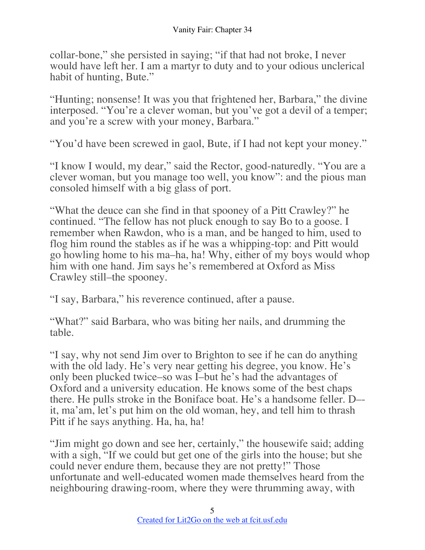collar-bone," she persisted in saying; "if that had not broke, I never would have left her. I am a martyr to duty and to your odious unclerical habit of hunting, Bute."

"Hunting; nonsense! It was you that frightened her, Barbara," the divine interposed. "You're a clever woman, but you've got a devil of a temper; and you're a screw with your money, Barbara."

"You'd have been screwed in gaol, Bute, if I had not kept your money."

"I know I would, my dear," said the Rector, good-naturedly. "You are a clever woman, but you manage too well, you know": and the pious man consoled himself with a big glass of port.

"What the deuce can she find in that spooney of a Pitt Crawley?" he continued. "The fellow has not pluck enough to say Bo to a goose. I remember when Rawdon, who is a man, and be hanged to him, used to flog him round the stables as if he was a whipping-top: and Pitt would go howling home to his ma–ha, ha! Why, either of my boys would whop him with one hand. Jim says he's remembered at Oxford as Miss Crawley still–the spooney.

"I say, Barbara," his reverence continued, after a pause.

"What?" said Barbara, who was biting her nails, and drumming the table.

"I say, why not send Jim over to Brighton to see if he can do anything with the old lady. He's very near getting his degree, you know. He's only been plucked twice–so was I–but he's had the advantages of Oxford and a university education. He knows some of the best chaps there. He pulls stroke in the Boniface boat. He's a handsome feller. D– it, ma'am, let's put him on the old woman, hey, and tell him to thrash Pitt if he says anything. Ha, ha, ha!

"Jim might go down and see her, certainly," the housewife said; adding with a sigh, "If we could but get one of the girls into the house; but she could never endure them, because they are not pretty!" Those unfortunate and well-educated women made themselves heard from the neighbouring drawing-room, where they were thrumming away, with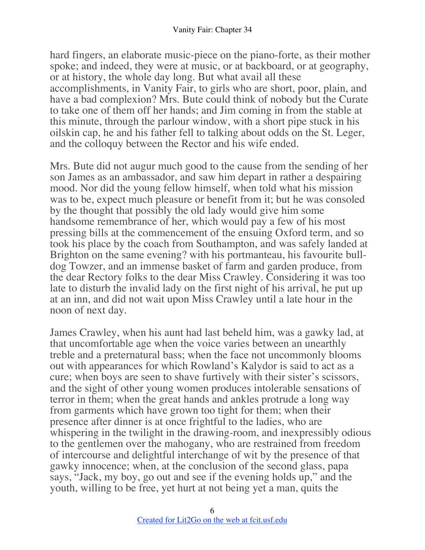hard fingers, an elaborate music-piece on the piano-forte, as their mother spoke; and indeed, they were at music, or at backboard, or at geography, or at history, the whole day long. But what avail all these accomplishments, in Vanity Fair, to girls who are short, poor, plain, and have a bad complexion? Mrs. Bute could think of nobody but the Curate to take one of them off her hands; and Jim coming in from the stable at this minute, through the parlour window, with a short pipe stuck in his oilskin cap, he and his father fell to talking about odds on the St. Leger, and the colloquy between the Rector and his wife ended.

Mrs. Bute did not augur much good to the cause from the sending of her son James as an ambassador, and saw him depart in rather a despairing mood. Nor did the young fellow himself, when told what his mission was to be, expect much pleasure or benefit from it; but he was consoled by the thought that possibly the old lady would give him some handsome remembrance of her, which would pay a few of his most pressing bills at the commencement of the ensuing Oxford term, and so took his place by the coach from Southampton, and was safely landed at Brighton on the same evening? with his portmanteau, his favourite bulldog Towzer, and an immense basket of farm and garden produce, from the dear Rectory folks to the dear Miss Crawley. Considering it was too late to disturb the invalid lady on the first night of his arrival, he put up at an inn, and did not wait upon Miss Crawley until a late hour in the noon of next day.

James Crawley, when his aunt had last beheld him, was a gawky lad, at that uncomfortable age when the voice varies between an unearthly treble and a preternatural bass; when the face not uncommonly blooms out with appearances for which Rowland's Kalydor is said to act as a cure; when boys are seen to shave furtively with their sister's scissors, and the sight of other young women produces intolerable sensations of terror in them; when the great hands and ankles protrude a long way from garments which have grown too tight for them; when their presence after dinner is at once frightful to the ladies, who are whispering in the twilight in the drawing-room, and inexpressibly odious to the gentlemen over the mahogany, who are restrained from freedom of intercourse and delightful interchange of wit by the presence of that gawky innocence; when, at the conclusion of the second glass, papa says, "Jack, my boy, go out and see if the evening holds up," and the youth, willing to be free, yet hurt at not being yet a man, quits the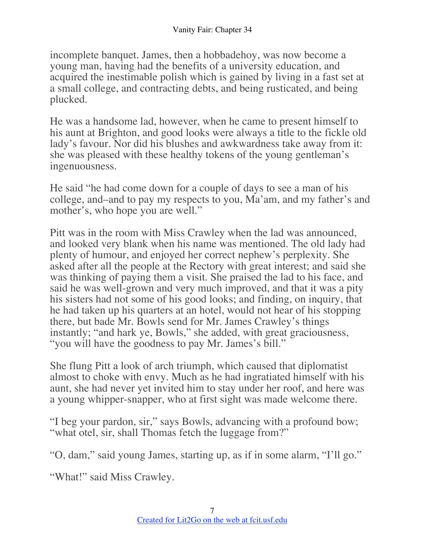incomplete banquet. James, then a hobbadehoy, was now become a young man, having had the benefits of a university education, and acquired the inestimable polish which is gained by living in a fast set at a small college, and contracting debts, and being rusticated, and being plucked.

He was a handsome lad, however, when he came to present himself to his aunt at Brighton, and good looks were always a title to the fickle old lady's favour. Nor did his blushes and awkwardness take away from it: she was pleased with these healthy tokens of the young gentleman's ingenuousness.

He said "he had come down for a couple of days to see a man of his college, and–and to pay my respects to you, Ma'am, and my father's and mother's, who hope you are well."

Pitt was in the room with Miss Crawley when the lad was announced, and looked very blank when his name was mentioned. The old lady had plenty of humour, and enjoyed her correct nephew's perplexity. She asked after all the people at the Rectory with great interest; and said she was thinking of paying them a visit. She praised the lad to his face, and said he was well-grown and very much improved, and that it was a pity his sisters had not some of his good looks; and finding, on inquiry, that he had taken up his quarters at an hotel, would not hear of his stopping there, but bade Mr. Bowls send for Mr. James Crawley's things instantly; "and hark ye, Bowls," she added, with great graciousness, "you will have the goodness to pay Mr. James's bill."

She flung Pitt a look of arch triumph, which caused that diplomatist almost to choke with envy. Much as he had ingratiated himself with his aunt, she had never yet invited him to stay under her roof, and here was a young whipper-snapper, who at first sight was made welcome there.

"I beg your pardon, sir," says Bowls, advancing with a profound bow; "what otel, sir, shall Thomas fetch the luggage from?"

"O, dam," said young James, starting up, as if in some alarm, "I'll go."

"What!" said Miss Crawley.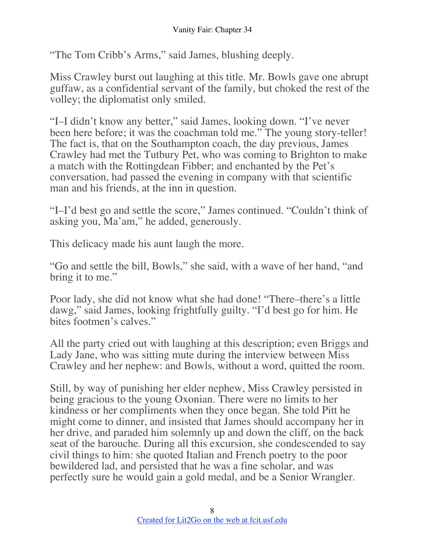"The Tom Cribb's Arms," said James, blushing deeply.

Miss Crawley burst out laughing at this title. Mr. Bowls gave one abrupt guffaw, as a confidential servant of the family, but choked the rest of the volley; the diplomatist only smiled.

"I–I didn't know any better," said James, looking down. "I've never been here before; it was the coachman told me." The young story-teller! The fact is, that on the Southampton coach, the day previous, James Crawley had met the Tutbury Pet, who was coming to Brighton to make a match with the Rottingdean Fibber; and enchanted by the Pet's conversation, had passed the evening in company with that scientific man and his friends, at the inn in question.

"I–I'd best go and settle the score," James continued. "Couldn't think of asking you, Ma'am," he added, generously.

This delicacy made his aunt laugh the more.

"Go and settle the bill, Bowls," she said, with a wave of her hand, "and bring it to me."

Poor lady, she did not know what she had done! "There–there's a little dawg," said James, looking frightfully guilty. "I'd best go for him. He bites footmen's calves."

All the party cried out with laughing at this description; even Briggs and Lady Jane, who was sitting mute during the interview between Miss Crawley and her nephew: and Bowls, without a word, quitted the room.

Still, by way of punishing her elder nephew, Miss Crawley persisted in being gracious to the young Oxonian. There were no limits to her kindness or her compliments when they once began. She told Pitt he might come to dinner, and insisted that James should accompany her in her drive, and paraded him solemnly up and down the cliff, on the back seat of the barouche. During all this excursion, she condescended to say civil things to him: she quoted Italian and French poetry to the poor bewildered lad, and persisted that he was a fine scholar, and was perfectly sure he would gain a gold medal, and be a Senior Wrangler.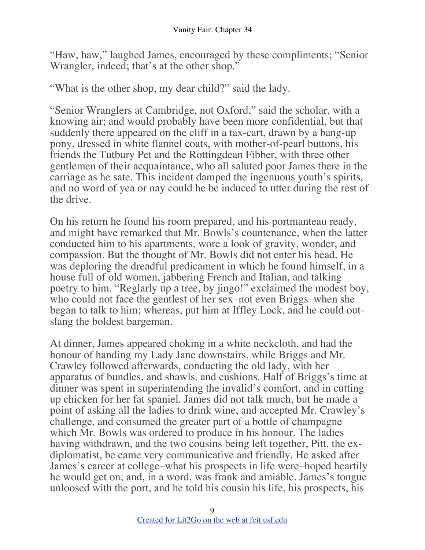"Haw, haw," laughed James, encouraged by these compliments; "Senior Wrangler, indeed; that's at the other shop."

"What is the other shop, my dear child?" said the lady.

"Senior Wranglers at Cambridge, not Oxford," said the scholar, with a knowing air; and would probably have been more confidential, but that suddenly there appeared on the cliff in a tax-cart, drawn by a bang-up pony, dressed in white flannel coats, with mother-of-pearl buttons, his friends the Tutbury Pet and the Rottingdean Fibber, with three other gentlemen of their acquaintance, who all saluted poor James there in the carriage as he sate. This incident damped the ingenuous youth's spirits, and no word of yea or nay could he be induced to utter during the rest of the drive.

On his return he found his room prepared, and his portmanteau ready, and might have remarked that Mr. Bowls's countenance, when the latter conducted him to his apartments, wore a look of gravity, wonder, and compassion. But the thought of Mr. Bowls did not enter his head. He was deploring the dreadful predicament in which he found himself, in a house full of old women, jabbering French and Italian, and talking poetry to him. "Reglarly up a tree, by jingo!" exclaimed the modest boy, who could not face the gentlest of her sex–not even Briggs–when she began to talk to him; whereas, put him at Iffley Lock, and he could outslang the boldest bargeman.

At dinner, James appeared choking in a white neckcloth, and had the honour of handing my Lady Jane downstairs, while Briggs and Mr. Crawley followed afterwards, conducting the old lady, with her apparatus of bundles, and shawls, and cushions. Half of Briggs's time at dinner was spent in superintending the invalid's comfort, and in cutting up chicken for her fat spaniel. James did not talk much, but he made a point of asking all the ladies to drink wine, and accepted Mr. Crawley's challenge, and consumed the greater part of a bottle of champagne which Mr. Bowls was ordered to produce in his honour. The ladies having withdrawn, and the two cousins being left together, Pitt, the exdiplomatist, be came very communicative and friendly. He asked after James's career at college–what his prospects in life were–hoped heartily he would get on; and, in a word, was frank and amiable. James's tongue unloosed with the port, and he told his cousin his life, his prospects, his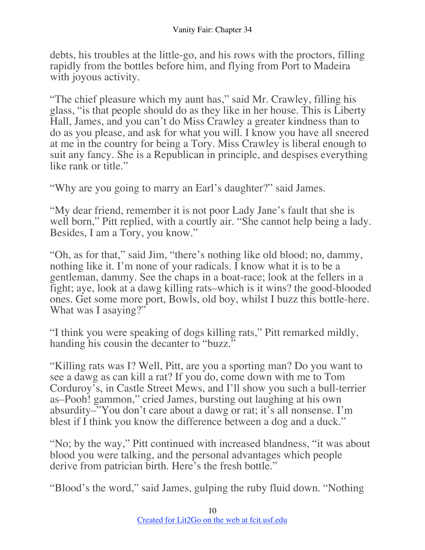debts, his troubles at the little-go, and his rows with the proctors, filling rapidly from the bottles before him, and flying from Port to Madeira with joyous activity.

"The chief pleasure which my aunt has," said Mr. Crawley, filling his glass, "is that people should do as they like in her house. This is Liberty Hall, James, and you can't do Miss Crawley a greater kindness than to do as you please, and ask for what you will. I know you have all sneered at me in the country for being a Tory. Miss Crawley is liberal enough to suit any fancy. She is a Republican in principle, and despises everything like rank or title."

"Why are you going to marry an Earl's daughter?" said James.

"My dear friend, remember it is not poor Lady Jane's fault that she is well born," Pitt replied, with a courtly air. "She cannot help being a lady. Besides, I am a Tory, you know."

"Oh, as for that," said Jim, "there's nothing like old blood; no, dammy, nothing like it. I'm none of your radicals. I know what it is to be a gentleman, dammy. See the chaps in a boat-race; look at the fellers in a fight; aye, look at a dawg killing rats–which is it wins? the good-blooded ones. Get some more port, Bowls, old boy, whilst I buzz this bottle-here. What was I asaying?"

"I think you were speaking of dogs killing rats," Pitt remarked mildly, handing his cousin the decanter to "buzz."

"Killing rats was I? Well, Pitt, are you a sporting man? Do you want to see a dawg as can kill a rat? If you do, come down with me to Tom Corduroy's, in Castle Street Mews, and I'll show you such a bull-terrier as–Pooh! gammon," cried James, bursting out laughing at his own absurdity–"You don't care about a dawg or rat; it's all nonsense. I'm blest if I think you know the difference between a dog and a duck."

"No; by the way," Pitt continued with increased blandness, "it was about blood you were talking, and the personal advantages which people derive from patrician birth. Here's the fresh bottle."

"Blood's the word," said James, gulping the ruby fluid down. "Nothing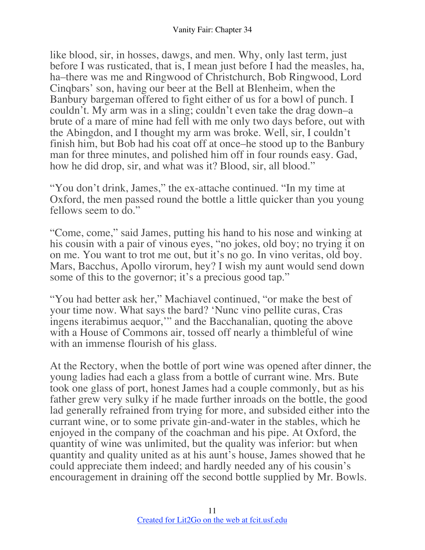like blood, sir, in hosses, dawgs, and men. Why, only last term, just before I was rusticated, that is, I mean just before I had the measles, ha, ha–there was me and Ringwood of Christchurch, Bob Ringwood, Lord Cinqbars' son, having our beer at the Bell at Blenheim, when the Banbury bargeman offered to fight either of us for a bowl of punch. I couldn't. My arm was in a sling; couldn't even take the drag down–a brute of a mare of mine had fell with me only two days before, out with the Abingdon, and I thought my arm was broke. Well, sir, I couldn't finish him, but Bob had his coat off at once–he stood up to the Banbury man for three minutes, and polished him off in four rounds easy. Gad, how he did drop, sir, and what was it? Blood, sir, all blood."

"You don't drink, James," the ex-attache continued. "In my time at Oxford, the men passed round the bottle a little quicker than you young fellows seem to do."

"Come, come," said James, putting his hand to his nose and winking at his cousin with a pair of vinous eyes, "no jokes, old boy; no trying it on on me. You want to trot me out, but it's no go. In vino veritas, old boy. Mars, Bacchus, Apollo virorum, hey? I wish my aunt would send down some of this to the governor; it's a precious good tap."

"You had better ask her," Machiavel continued, "or make the best of your time now. What says the bard? 'Nunc vino pellite curas, Cras ingens iterabimus aequor,'" and the Bacchanalian, quoting the above with a House of Commons air, tossed off nearly a thimbleful of wine with an immense flourish of his glass.

At the Rectory, when the bottle of port wine was opened after dinner, the young ladies had each a glass from a bottle of currant wine. Mrs. Bute took one glass of port, honest James had a couple commonly, but as his father grew very sulky if he made further inroads on the bottle, the good lad generally refrained from trying for more, and subsided either into the currant wine, or to some private gin-and-water in the stables, which he enjoyed in the company of the coachman and his pipe. At Oxford, the quantity of wine was unlimited, but the quality was inferior: but when quantity and quality united as at his aunt's house, James showed that he could appreciate them indeed; and hardly needed any of his cousin's encouragement in draining off the second bottle supplied by Mr. Bowls.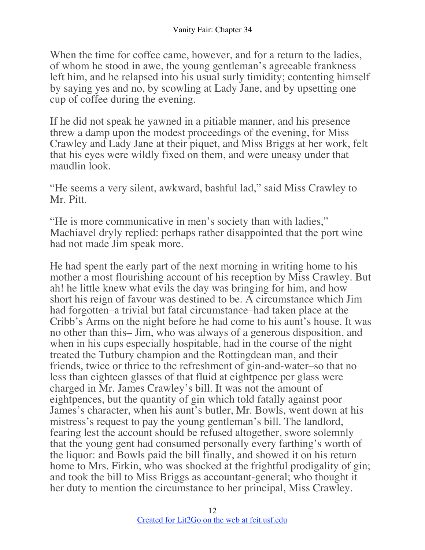When the time for coffee came, however, and for a return to the ladies, of whom he stood in awe, the young gentleman's agreeable frankness left him, and he relapsed into his usual surly timidity; contenting himself by saying yes and no, by scowling at Lady Jane, and by upsetting one cup of coffee during the evening.

If he did not speak he yawned in a pitiable manner, and his presence threw a damp upon the modest proceedings of the evening, for Miss Crawley and Lady Jane at their piquet, and Miss Briggs at her work, felt that his eyes were wildly fixed on them, and were uneasy under that maudlin look.

"He seems a very silent, awkward, bashful lad," said Miss Crawley to Mr. Pitt.

"He is more communicative in men's society than with ladies," Machiavel dryly replied: perhaps rather disappointed that the port wine had not made Jim speak more.

He had spent the early part of the next morning in writing home to his mother a most flourishing account of his reception by Miss Crawley. But ah! he little knew what evils the day was bringing for him, and how short his reign of favour was destined to be. A circumstance which Jim had forgotten–a trivial but fatal circumstance–had taken place at the Cribb's Arms on the night before he had come to his aunt's house. It was no other than this– Jim, who was always of a generous disposition, and when in his cups especially hospitable, had in the course of the night treated the Tutbury champion and the Rottingdean man, and their friends, twice or thrice to the refreshment of gin-and-water–so that no less than eighteen glasses of that fluid at eightpence per glass were charged in Mr. James Crawley's bill. It was not the amount of eightpences, but the quantity of gin which told fatally against poor James's character, when his aunt's butler, Mr. Bowls, went down at his mistress's request to pay the young gentleman's bill. The landlord, fearing lest the account should be refused altogether, swore solemnly that the young gent had consumed personally every farthing's worth of the liquor: and Bowls paid the bill finally, and showed it on his return home to Mrs. Firkin, who was shocked at the frightful prodigality of gin; and took the bill to Miss Briggs as accountant-general; who thought it her duty to mention the circumstance to her principal, Miss Crawley.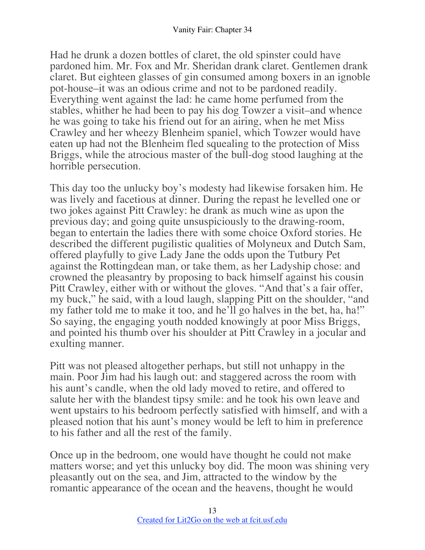Had he drunk a dozen bottles of claret, the old spinster could have pardoned him. Mr. Fox and Mr. Sheridan drank claret. Gentlemen drank claret. But eighteen glasses of gin consumed among boxers in an ignoble pot-house–it was an odious crime and not to be pardoned readily. Everything went against the lad: he came home perfumed from the stables, whither he had been to pay his dog Towzer a visit–and whence he was going to take his friend out for an airing, when he met Miss Crawley and her wheezy Blenheim spaniel, which Towzer would have eaten up had not the Blenheim fled squealing to the protection of Miss Briggs, while the atrocious master of the bull-dog stood laughing at the horrible persecution.

This day too the unlucky boy's modesty had likewise forsaken him. He was lively and facetious at dinner. During the repast he levelled one or two jokes against Pitt Crawley: he drank as much wine as upon the previous day; and going quite unsuspiciously to the drawing-room, began to entertain the ladies there with some choice Oxford stories. He described the different pugilistic qualities of Molyneux and Dutch Sam, offered playfully to give Lady Jane the odds upon the Tutbury Pet against the Rottingdean man, or take them, as her Ladyship chose: and crowned the pleasantry by proposing to back himself against his cousin Pitt Crawley, either with or without the gloves. "And that's a fair offer, my buck," he said, with a loud laugh, slapping Pitt on the shoulder, "and my father told me to make it too, and he'll go halves in the bet, ha, ha!" So saying, the engaging youth nodded knowingly at poor Miss Briggs, and pointed his thumb over his shoulder at Pitt Crawley in a jocular and exulting manner.

Pitt was not pleased altogether perhaps, but still not unhappy in the main. Poor Jim had his laugh out: and staggered across the room with his aunt's candle, when the old lady moved to retire, and offered to salute her with the blandest tipsy smile: and he took his own leave and went upstairs to his bedroom perfectly satisfied with himself, and with a pleased notion that his aunt's money would be left to him in preference to his father and all the rest of the family.

Once up in the bedroom, one would have thought he could not make matters worse; and yet this unlucky boy did. The moon was shining very pleasantly out on the sea, and Jim, attracted to the window by the romantic appearance of the ocean and the heavens, thought he would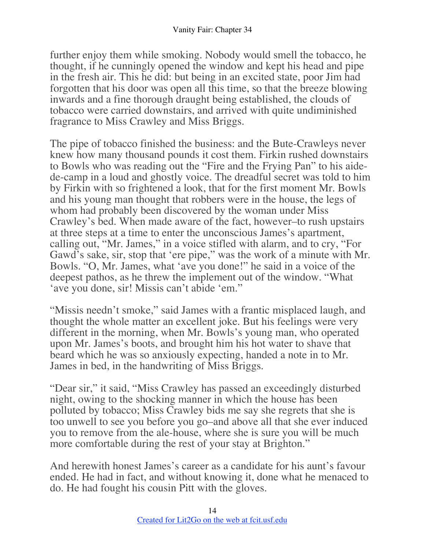further enjoy them while smoking. Nobody would smell the tobacco, he thought, if he cunningly opened the window and kept his head and pipe in the fresh air. This he did: but being in an excited state, poor Jim had forgotten that his door was open all this time, so that the breeze blowing inwards and a fine thorough draught being established, the clouds of tobacco were carried downstairs, and arrived with quite undiminished fragrance to Miss Crawley and Miss Briggs.

The pipe of tobacco finished the business: and the Bute-Crawleys never knew how many thousand pounds it cost them. Firkin rushed downstairs to Bowls who was reading out the "Fire and the Frying Pan" to his aidede-camp in a loud and ghostly voice. The dreadful secret was told to him by Firkin with so frightened a look, that for the first moment Mr. Bowls and his young man thought that robbers were in the house, the legs of whom had probably been discovered by the woman under Miss Crawley's bed. When made aware of the fact, however–to rush upstairs at three steps at a time to enter the unconscious James's apartment, calling out, "Mr. James," in a voice stifled with alarm, and to cry, "For Gawd's sake, sir, stop that 'ere pipe," was the work of a minute with Mr. Bowls. "O, Mr. James, what 'ave you done!" he said in a voice of the deepest pathos, as he threw the implement out of the window. "What 'ave you done, sir! Missis can't abide 'em."

"Missis needn't smoke," said James with a frantic misplaced laugh, and thought the whole matter an excellent joke. But his feelings were very different in the morning, when Mr. Bowls's young man, who operated upon Mr. James's boots, and brought him his hot water to shave that beard which he was so anxiously expecting, handed a note in to Mr. James in bed, in the handwriting of Miss Briggs.

"Dear sir," it said, "Miss Crawley has passed an exceedingly disturbed night, owing to the shocking manner in which the house has been polluted by tobacco; Miss Crawley bids me say she regrets that she is too unwell to see you before you go–and above all that she ever induced you to remove from the ale-house, where she is sure you will be much more comfortable during the rest of your stay at Brighton."

And herewith honest James's career as a candidate for his aunt's favour ended. He had in fact, and without knowing it, done what he menaced to do. He had fought his cousin Pitt with the gloves.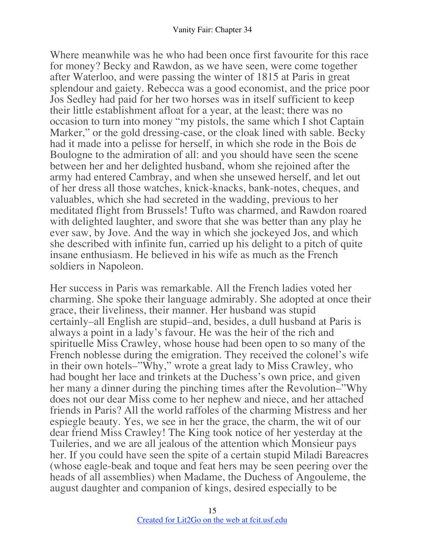Where meanwhile was he who had been once first favourite for this race for money? Becky and Rawdon, as we have seen, were come together after Waterloo, and were passing the winter of 1815 at Paris in great splendour and gaiety. Rebecca was a good economist, and the price poor Jos Sedley had paid for her two horses was in itself sufficient to keep their little establishment afloat for a year, at the least; there was no occasion to turn into money "my pistols, the same which I shot Captain Marker," or the gold dressing-case, or the cloak lined with sable. Becky had it made into a pelisse for herself, in which she rode in the Bois de Boulogne to the admiration of all: and you should have seen the scene between her and her delighted husband, whom she rejoined after the army had entered Cambray, and when she unsewed herself, and let out of her dress all those watches, knick-knacks, bank-notes, cheques, and valuables, which she had secreted in the wadding, previous to her meditated flight from Brussels! Tufto was charmed, and Rawdon roared with delighted laughter, and swore that she was better than any play he ever saw, by Jove. And the way in which she jockeyed Jos, and which she described with infinite fun, carried up his delight to a pitch of quite insane enthusiasm. He believed in his wife as much as the French soldiers in Napoleon.

Her success in Paris was remarkable. All the French ladies voted her charming. She spoke their language admirably. She adopted at once their grace, their liveliness, their manner. Her husband was stupid certainly–all English are stupid–and, besides, a dull husband at Paris is always a point in a lady's favour. He was the heir of the rich and spirituelle Miss Crawley, whose house had been open to so many of the French noblesse during the emigration. They received the colonel's wife in their own hotels–"Why," wrote a great lady to Miss Crawley, who had bought her lace and trinkets at the Duchess's own price, and given her many a dinner during the pinching times after the Revolution–"Why does not our dear Miss come to her nephew and niece, and her attached friends in Paris? All the world raffoles of the charming Mistress and her espiegle beauty. Yes, we see in her the grace, the charm, the wit of our dear friend Miss Crawley! The King took notice of her yesterday at the Tuileries, and we are all jealous of the attention which Monsieur pays her. If you could have seen the spite of a certain stupid Miladi Bareacres (whose eagle-beak and toque and feat hers may be seen peering over the heads of all assemblies) when Madame, the Duchess of Angouleme, the august daughter and companion of kings, desired especially to be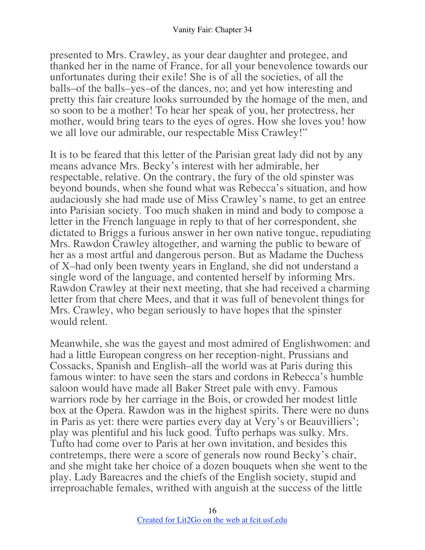presented to Mrs. Crawley, as your dear daughter and protegee, and thanked her in the name of France, for all your benevolence towards our unfortunates during their exile! She is of all the societies, of all the balls–of the balls–yes–of the dances, no; and yet how interesting and pretty this fair creature looks surrounded by the homage of the men, and so soon to be a mother! To hear her speak of you, her protectress, her mother, would bring tears to the eyes of ogres. How she loves you! how we all love our admirable, our respectable Miss Crawley!"

It is to be feared that this letter of the Parisian great lady did not by any means advance Mrs. Becky's interest with her admirable, her respectable, relative. On the contrary, the fury of the old spinster was beyond bounds, when she found what was Rebecca's situation, and how audaciously she had made use of Miss Crawley's name, to get an entree into Parisian society. Too much shaken in mind and body to compose a letter in the French language in reply to that of her correspondent, she dictated to Briggs a furious answer in her own native tongue, repudiating Mrs. Rawdon Crawley altogether, and warning the public to beware of her as a most artful and dangerous person. But as Madame the Duchess of X–had only been twenty years in England, she did not understand a single word of the language, and contented herself by informing Mrs. Rawdon Crawley at their next meeting, that she had received a charming letter from that chere Mees, and that it was full of benevolent things for Mrs. Crawley, who began seriously to have hopes that the spinster would relent.

Meanwhile, she was the gayest and most admired of Englishwomen: and had a little European congress on her reception-night. Prussians and Cossacks, Spanish and English–all the world was at Paris during this famous winter: to have seen the stars and cordons in Rebecca's humble saloon would have made all Baker Street pale with envy. Famous warriors rode by her carriage in the Bois, or crowded her modest little box at the Opera. Rawdon was in the highest spirits. There were no duns in Paris as yet: there were parties every day at Very's or Beauvilliers'; play was plentiful and his luck good. Tufto perhaps was sulky. Mrs. Tufto had come over to Paris at her own invitation, and besides this contretemps, there were a score of generals now round Becky's chair, and she might take her choice of a dozen bouquets when she went to the play. Lady Bareacres and the chiefs of the English society, stupid and irreproachable females, writhed with anguish at the success of the little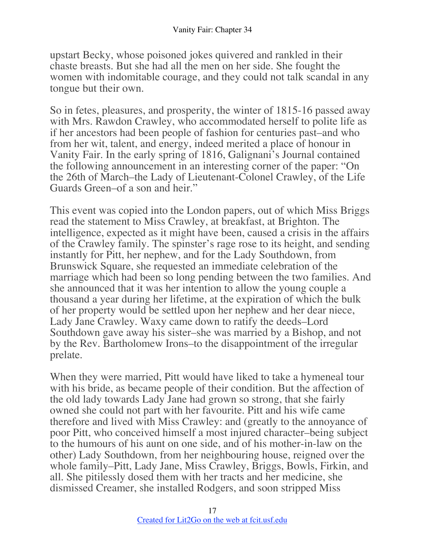upstart Becky, whose poisoned jokes quivered and rankled in their chaste breasts. But she had all the men on her side. She fought the women with indomitable courage, and they could not talk scandal in any tongue but their own.

So in fetes, pleasures, and prosperity, the winter of 1815-16 passed away with Mrs. Rawdon Crawley, who accommodated herself to polite life as if her ancestors had been people of fashion for centuries past–and who from her wit, talent, and energy, indeed merited a place of honour in Vanity Fair. In the early spring of 1816, Galignani's Journal contained the following announcement in an interesting corner of the paper: "On the 26th of March–the Lady of Lieutenant-Colonel Crawley, of the Life Guards Green–of a son and heir."

This event was copied into the London papers, out of which Miss Briggs read the statement to Miss Crawley, at breakfast, at Brighton. The intelligence, expected as it might have been, caused a crisis in the affairs of the Crawley family. The spinster's rage rose to its height, and sending instantly for Pitt, her nephew, and for the Lady Southdown, from Brunswick Square, she requested an immediate celebration of the marriage which had been so long pending between the two families. And she announced that it was her intention to allow the young couple a thousand a year during her lifetime, at the expiration of which the bulk of her property would be settled upon her nephew and her dear niece, Lady Jane Crawley. Waxy came down to ratify the deeds–Lord Southdown gave away his sister–she was married by a Bishop, and not by the Rev. Bartholomew Irons–to the disappointment of the irregular prelate.

When they were married, Pitt would have liked to take a hymeneal tour with his bride, as became people of their condition. But the affection of the old lady towards Lady Jane had grown so strong, that she fairly owned she could not part with her favourite. Pitt and his wife came therefore and lived with Miss Crawley: and (greatly to the annoyance of poor Pitt, who conceived himself a most injured character–being subject to the humours of his aunt on one side, and of his mother-in-law on the other) Lady Southdown, from her neighbouring house, reigned over the whole family–Pitt, Lady Jane, Miss Crawley, Briggs, Bowls, Firkin, and all. She pitilessly dosed them with her tracts and her medicine, she dismissed Creamer, she installed Rodgers, and soon stripped Miss